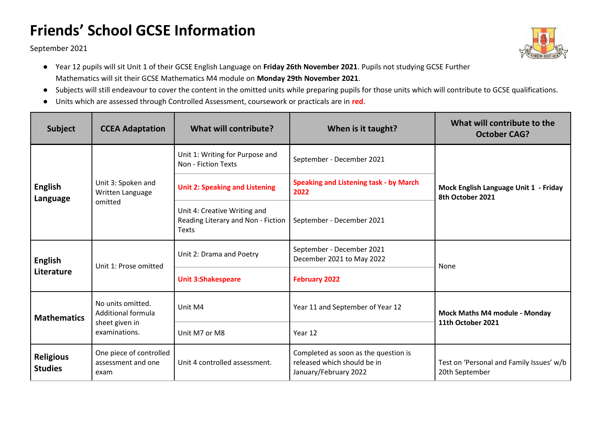## **Friends' School GCSE Information**

September 2021



- Year 12 pupils will sit Unit 1 of their GCSE English Language on **Friday 26th November 2021**. Pupils not studying GCSE Further Mathematics will sit their GCSE Mathematics M4 module on **Monday 29th November 2021**.
- Subjects will still endeavour to cover the content in the omitted units while preparing pupils for those units which will contribute to GCSE qualifications.
- Units which are assessed through Controlled Assessment, coursework or practicals are in **red**.

| <b>Subject</b>                     | <b>CCEA Adaptation</b>                                                     | <b>What will contribute?</b>                                                | When is it taught?                                                                           | What will contribute to the<br><b>October CAG?</b>         |
|------------------------------------|----------------------------------------------------------------------------|-----------------------------------------------------------------------------|----------------------------------------------------------------------------------------------|------------------------------------------------------------|
| English<br>Language                | Unit 3: Spoken and<br>Written Language<br>omitted                          | Unit 1: Writing for Purpose and<br>Non - Fiction Texts                      | September - December 2021                                                                    | Mock English Language Unit 1 - Friday<br>8th October 2021  |
|                                    |                                                                            | <b>Unit 2: Speaking and Listening</b>                                       | <b>Speaking and Listening task - by March</b><br>2022                                        |                                                            |
|                                    |                                                                            | Unit 4: Creative Writing and<br>Reading Literary and Non - Fiction<br>Texts | September - December 2021                                                                    |                                                            |
| English<br>Literature              | Unit 1: Prose omitted                                                      | Unit 2: Drama and Poetry                                                    | September - December 2021<br>December 2021 to May 2022                                       | None                                                       |
|                                    |                                                                            | <b>Unit 3:Shakespeare</b>                                                   | <b>February 2022</b>                                                                         |                                                            |
| <b>Mathematics</b>                 | No units omitted.<br>Additional formula<br>sheet given in<br>examinations. | Unit M4                                                                     | Year 11 and September of Year 12                                                             | Mock Maths M4 module - Monday<br>11th October 2021         |
|                                    |                                                                            | Unit M7 or M8                                                               | Year 12                                                                                      |                                                            |
| <b>Religious</b><br><b>Studies</b> | One piece of controlled<br>assessment and one<br>exam                      | Unit 4 controlled assessment.                                               | Completed as soon as the question is<br>released which should be in<br>January/February 2022 | Test on 'Personal and Family Issues' w/b<br>20th September |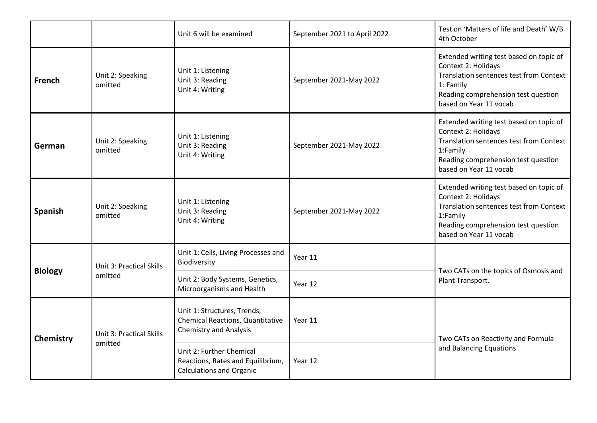|                |                                            | Unit 6 will be examined                                                                                 | September 2021 to April 2022 | Test on 'Matters of life and Death' W/B<br>4th October                                                                                                                                  |
|----------------|--------------------------------------------|---------------------------------------------------------------------------------------------------------|------------------------------|-----------------------------------------------------------------------------------------------------------------------------------------------------------------------------------------|
| French         | Unit 2: Speaking<br>omitted                | Unit 1: Listening<br>Unit 3: Reading<br>Unit 4: Writing                                                 | September 2021-May 2022      | Extended writing test based on topic of<br>Context 2: Holidays<br>Translation sentences test from Context<br>1: Family<br>Reading comprehension test question<br>based on Year 11 vocab |
| German         | Unit 2: Speaking<br>omitted                | Unit 1: Listening<br>Unit 3: Reading<br>Unit 4: Writing                                                 | September 2021-May 2022      | Extended writing test based on topic of<br>Context 2: Holidays<br>Translation sentences test from Context<br>1:Family<br>Reading comprehension test question<br>based on Year 11 vocab  |
| <b>Spanish</b> | Unit 2: Speaking<br>omitted                | Unit 1: Listening<br>Unit 3: Reading<br>Unit 4: Writing                                                 | September 2021-May 2022      | Extended writing test based on topic of<br>Context 2: Holidays<br>Translation sentences test from Context<br>1:Family<br>Reading comprehension test question<br>based on Year 11 vocab  |
| <b>Biology</b> | <b>Unit 3: Practical Skills</b><br>omitted | Unit 1: Cells, Living Processes and<br>Biodiversity                                                     | Year 11                      | Two CATs on the topics of Osmosis and<br>Plant Transport.                                                                                                                               |
|                |                                            | Unit 2: Body Systems, Genetics,<br>Microorganisms and Health                                            | Year 12                      |                                                                                                                                                                                         |
| Chemistry      | <b>Unit 3: Practical Skills</b><br>omitted | Unit 1: Structures, Trends,<br><b>Chemical Reactions, Quantitative</b><br><b>Chemistry and Analysis</b> | Year 11                      | Two CATs on Reactivity and Formula<br>and Balancing Equations                                                                                                                           |
|                |                                            | Unit 2: Further Chemical<br>Reactions, Rates and Equilibrium,<br><b>Calculations and Organic</b>        | Year 12                      |                                                                                                                                                                                         |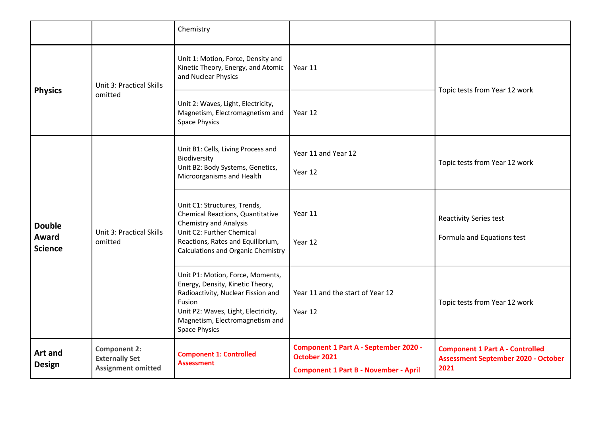|                                                            |                                                                                          | Chemistry                                                                                                                                                                                                              |                                                                                                              |                                                                                              |
|------------------------------------------------------------|------------------------------------------------------------------------------------------|------------------------------------------------------------------------------------------------------------------------------------------------------------------------------------------------------------------------|--------------------------------------------------------------------------------------------------------------|----------------------------------------------------------------------------------------------|
| <b>Physics</b><br><b>Double</b><br>Award<br><b>Science</b> | <b>Unit 3: Practical Skills</b><br>omitted<br><b>Unit 3: Practical Skills</b><br>omitted | Unit 1: Motion, Force, Density and<br>Kinetic Theory, Energy, and Atomic<br>and Nuclear Physics                                                                                                                        | Year 11                                                                                                      | Topic tests from Year 12 work                                                                |
|                                                            |                                                                                          | Unit 2: Waves, Light, Electricity,<br>Magnetism, Electromagnetism and<br><b>Space Physics</b>                                                                                                                          | Year 12                                                                                                      |                                                                                              |
|                                                            |                                                                                          | Unit B1: Cells, Living Process and<br>Biodiversity<br>Unit B2: Body Systems, Genetics,<br>Microorganisms and Health                                                                                                    | Year 11 and Year 12<br>Year 12                                                                               | Topic tests from Year 12 work                                                                |
|                                                            |                                                                                          | Unit C1: Structures, Trends,<br>Chemical Reactions, Quantitative<br><b>Chemistry and Analysis</b><br>Unit C2: Further Chemical<br>Reactions, Rates and Equilibrium,<br><b>Calculations and Organic Chemistry</b>       | Year 11<br>Year 12                                                                                           | <b>Reactivity Series test</b><br>Formula and Equations test                                  |
|                                                            |                                                                                          | Unit P1: Motion, Force, Moments,<br>Energy, Density, Kinetic Theory,<br>Radioactivity, Nuclear Fission and<br>Fusion<br>Unit P2: Waves, Light, Electricity,<br>Magnetism, Electromagnetism and<br><b>Space Physics</b> | Year 11 and the start of Year 12<br>Year 12                                                                  | Topic tests from Year 12 work                                                                |
| Art and<br><b>Design</b>                                   | <b>Component 2:</b><br><b>Externally Set</b><br><b>Assignment omitted</b>                | <b>Component 1: Controlled</b><br><b>Assessment</b>                                                                                                                                                                    | <b>Component 1 Part A - September 2020 -</b><br>October 2021<br><b>Component 1 Part B - November - April</b> | <b>Component 1 Part A - Controlled</b><br><b>Assessment September 2020 - October</b><br>2021 |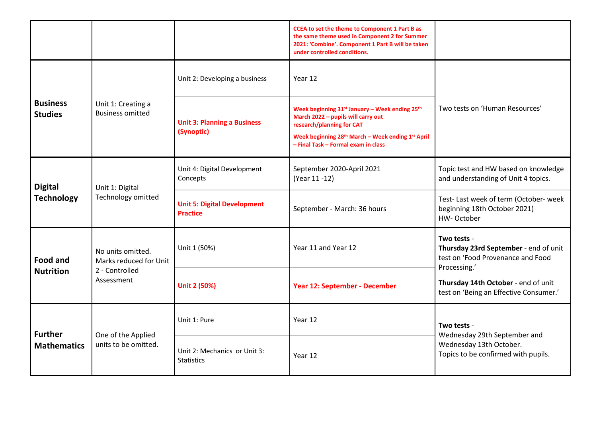|                                      |                                                                             |                                                       | <b>CCEA to set the theme to Component 1 Part B as</b><br>the same theme used in Component 2 for Summer<br>2021: 'Combine'. Component 1 Part B will be taken<br>under controlled conditions.                               |                                                                                                               |
|--------------------------------------|-----------------------------------------------------------------------------|-------------------------------------------------------|---------------------------------------------------------------------------------------------------------------------------------------------------------------------------------------------------------------------------|---------------------------------------------------------------------------------------------------------------|
| <b>Business</b><br><b>Studies</b>    | Unit 1: Creating a<br><b>Business omitted</b>                               | Unit 2: Developing a business                         | Year 12                                                                                                                                                                                                                   |                                                                                                               |
|                                      |                                                                             | <b>Unit 3: Planning a Business</b><br>(Synoptic)      | Week beginning 31st January - Week ending 25th<br>March 2022 - pupils will carry out<br>research/planning for CAT<br>Week beginning 28 <sup>th</sup> March - Week ending 1st April<br>- Final Task - Formal exam in class | Two tests on 'Human Resources'                                                                                |
| <b>Digital</b><br><b>Technology</b>  | Unit 1: Digital<br>Technology omitted                                       | Unit 4: Digital Development<br>Concepts               | September 2020-April 2021<br>(Year 11 -12)                                                                                                                                                                                | Topic test and HW based on knowledge<br>and understanding of Unit 4 topics.                                   |
|                                      |                                                                             | <b>Unit 5: Digital Development</b><br><b>Practice</b> | September - March: 36 hours                                                                                                                                                                                               | Test- Last week of term (October- week<br>beginning 18th October 2021)<br>HW-October                          |
| <b>Food and</b><br><b>Nutrition</b>  | No units omitted.<br>Marks reduced for Unit<br>2 - Controlled<br>Assessment | Unit 1 (50%)                                          | Year 11 and Year 12                                                                                                                                                                                                       | Two tests -<br>Thursday 23rd September - end of unit<br>test on 'Food Provenance and Food<br>Processing.'     |
|                                      |                                                                             | <b>Unit 2 (50%)</b>                                   | Year 12: September - December                                                                                                                                                                                             | Thursday 14th October - end of unit<br>test on 'Being an Effective Consumer.'                                 |
| <b>Further</b><br><b>Mathematics</b> | One of the Applied<br>units to be omitted.                                  | Unit 1: Pure                                          | Year 12                                                                                                                                                                                                                   | Two tests -<br>Wednesday 29th September and<br>Wednesday 13th October.<br>Topics to be confirmed with pupils. |
|                                      |                                                                             | Unit 2: Mechanics or Unit 3:<br><b>Statistics</b>     | Year 12                                                                                                                                                                                                                   |                                                                                                               |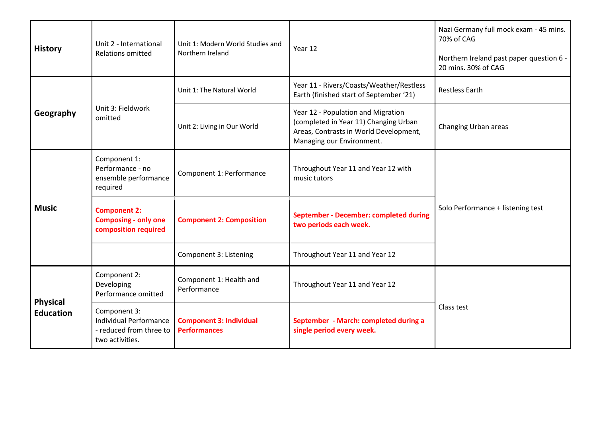| <b>History</b>                      | Unit 2 - International<br><b>Relations omitted</b>                                   | Unit 1: Modern World Studies and<br>Northern Ireland  | Year 12                                                                                                                                            | Nazi Germany full mock exam - 45 mins.<br>70% of CAG<br>Northern Ireland past paper question 6 - |
|-------------------------------------|--------------------------------------------------------------------------------------|-------------------------------------------------------|----------------------------------------------------------------------------------------------------------------------------------------------------|--------------------------------------------------------------------------------------------------|
|                                     |                                                                                      |                                                       |                                                                                                                                                    | 20 mins. 30% of CAG                                                                              |
| Geography                           | Unit 3: Fieldwork<br>omitted                                                         | Unit 1: The Natural World                             | Year 11 - Rivers/Coasts/Weather/Restless<br>Earth (finished start of September '21)                                                                | <b>Restless Earth</b>                                                                            |
|                                     |                                                                                      | Unit 2: Living in Our World                           | Year 12 - Population and Migration<br>(completed in Year 11) Changing Urban<br>Areas, Contrasts in World Development,<br>Managing our Environment. | Changing Urban areas                                                                             |
| <b>Music</b>                        | Component 1:<br>Performance - no<br>ensemble performance<br>required                 | Component 1: Performance                              | Throughout Year 11 and Year 12 with<br>music tutors                                                                                                | Solo Performance + listening test                                                                |
|                                     | <b>Component 2:</b><br><b>Composing - only one</b><br>composition required           | <b>Component 2: Composition</b>                       | <b>September - December: completed during</b><br>two periods each week.                                                                            |                                                                                                  |
|                                     |                                                                                      | Component 3: Listening                                | Throughout Year 11 and Year 12                                                                                                                     |                                                                                                  |
| <b>Physical</b><br><b>Education</b> | Component 2:<br>Developing<br>Performance omitted                                    | Component 1: Health and<br>Performance                | Throughout Year 11 and Year 12                                                                                                                     | Class test                                                                                       |
|                                     | Component 3:<br>Individual Performance<br>- reduced from three to<br>two activities. | <b>Component 3: Individual</b><br><b>Performances</b> | September - March: completed during a<br>single period every week.                                                                                 |                                                                                                  |